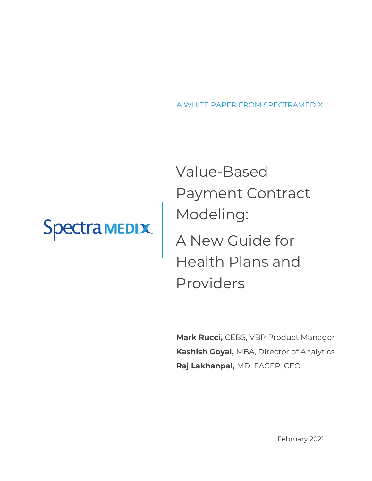A WHITE PAPER FROM SPECTRAMEDIX

# Spectra MEDIX

Value-Based Payment Contract Modeling: A New Guide for Health Plans and Providers

**Mark Rucci,** CEBS, VBP Product Manager **Kashish Goyal,** MBA, Director of Analytics **Raj Lakhanpal,** MD, FACEP, CEO

February 2021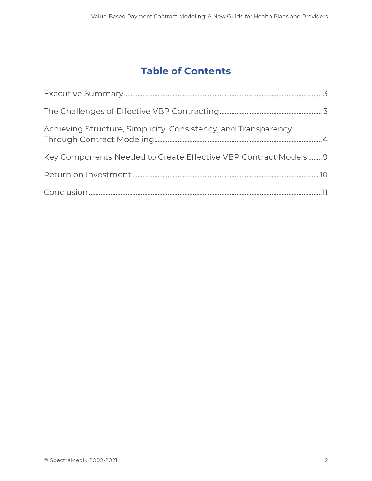# **Table of Contents**

| Achieving Structure, Simplicity, Consistency, and Transparency  |  |
|-----------------------------------------------------------------|--|
| Key Components Needed to Create Effective VBP Contract Models 9 |  |
|                                                                 |  |
|                                                                 |  |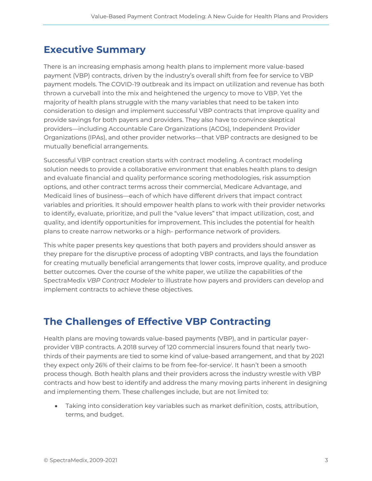### <span id="page-2-0"></span>**Executive Summary**

There is an increasing emphasis among health plans to implement more value-based payment (VBP) contracts, driven by the industry's overall shift from fee for service to VBP payment models. The COVID-19 outbreak and its impact on utilization and revenue has both thrown a curveball into the mix and heightened the urgency to move to VBP. Yet the majority of health plans struggle with the many variables that need to be taken into consideration to design and implement successful VBP contracts that improve quality and provide savings for both payers and providers. They also have to convince skeptical providers—including Accountable Care Organizations (ACOs), Independent Provider Organizations (IPAs), and other provider networks—that VBP contracts are designed to be mutually beneficial arrangements.

Successful VBP contract creation starts with contract modeling. A contract modeling solution needs to provide a collaborative environment that enables health plans to design and evaluate financial and quality performance scoring methodologies, risk assumption options, and other contract terms across their commercial, Medicare Advantage, and Medicaid lines of business—each of which have different drivers that impact contract variables and priorities. It should empower health plans to work with their provider networks to identify, evaluate, prioritize, and pull the "value levers" that impact utilization, cost, and quality, and identify opportunities for improvement. This includes the potential for health plans to create narrow networks or a high- performance network of providers.

This white paper presents key questions that both payers and providers should answer as they prepare for the disruptive process of adopting VBP contracts, and lays the foundation for creating mutually beneficial arrangements that lower costs, improve quality, and produce better outcomes. Over the course of the white paper, we utilize the capabilities of the SpectraMedix *VBP Contract Modeler* to illustrate how payers and providers can develop and implement contracts to achieve these objectives.

### <span id="page-2-1"></span>**The Challenges of Effective VBP Contracting**

Health plans are moving towards value-based payments (VBP), and in particular payerprovider VBP contracts. A 2018 survey of 120 commercial insurers found that nearly twothirds of their payments are tied to some kind of value-based arrangement, and that by 2021 they expect only 26% of their claims to be from fee-for-service<sup>i</sup> . It hasn't been a smooth process though. Both health plans and their providers across the industry wrestle with VBP contracts and how best to identify and address the many moving parts inherent in designing and implementing them. These challenges include, but are not limited to:

• Taking into consideration key variables such as market definition, costs, attribution, terms, and budget.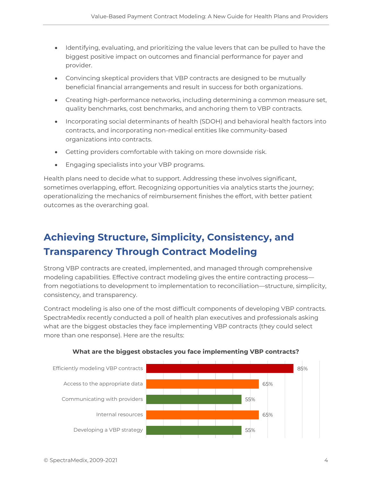- Identifying, evaluating, and prioritizing the value levers that can be pulled to have the biggest positive impact on outcomes and financial performance for payer and provider.
- Convincing skeptical providers that VBP contracts are designed to be mutually beneficial financial arrangements and result in success for both organizations.
- Creating high-performance networks, including determining a common measure set, quality benchmarks, cost benchmarks, and anchoring them to VBP contracts.
- Incorporating social determinants of health (SDOH) and behavioral health factors into contracts, and incorporating non-medical entities like community-based organizations into contracts.
- Getting providers comfortable with taking on more downside risk.
- Engaging specialists into your VBP programs.

Health plans need to decide what to support. Addressing these involves significant, sometimes overlapping, effort. Recognizing opportunities via analytics starts the journey; operationalizing the mechanics of reimbursement finishes the effort, with better patient outcomes as the overarching goal.

# <span id="page-3-0"></span>**Achieving Structure, Simplicity, Consistency, and Transparency Through Contract Modeling**

Strong VBP contracts are created, implemented, and managed through comprehensive modeling capabilities. Effective contract modeling gives the entire contracting process from negotiations to development to implementation to reconciliation—structure, simplicity, consistency, and transparency.

Contract modeling is also one of the most difficult components of developing VBP contracts. SpectraMedix recently conducted a poll of health plan executives and professionals asking what are the biggest obstacles they face implementing VBP contracts (they could select more than one response). Here are the results:



#### **What are the biggest obstacles you face implementing VBP contracts?**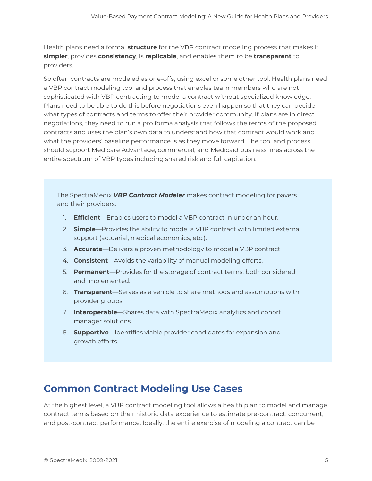Health plans need a formal **structure** for the VBP contract modeling process that makes it **simpler**, provides **consistency**, is **replicable**, and enables them to be **transparent** to providers.

So often contracts are modeled as one-offs, using excel or some other tool. Health plans need a VBP contract modeling tool and process that enables team members who are not sophisticated with VBP contracting to model a contract without specialized knowledge. Plans need to be able to do this before negotiations even happen so that they can decide what types of contracts and terms to offer their provider community. If plans are in direct negotiations, they need to run a pro forma analysis that follows the terms of the proposed contracts and uses the plan's own data to understand how that contract would work and what the providers' baseline performance is as they move forward. The tool and process should support Medicare Advantage, commercial, and Medicaid business lines across the entire spectrum of VBP types including shared risk and full capitation.

The SpectraMedix *VBP Contract Modeler* makes contract modeling for payers and their providers:

- 1. **Efficient**—Enables users to model a VBP contract in under an hour.
- 2. **Simple**—Provides the ability to model a VBP contract with limited external support (actuarial, medical economics, etc.).
- 3. **Accurate**—Delivers a proven methodology to model a VBP contract.
- 4. **Consistent**—Avoids the variability of manual modeling efforts.
- 5. **Permanent**—Provides for the storage of contract terms, both considered and implemented.
- 6. **Transparent**—Serves as a vehicle to share methods and assumptions with provider groups.
- 7. **Interoperable**—Shares data with SpectraMedix analytics and cohort manager solutions.
- 8. **Supportive**—Identifies viable provider candidates for expansion and growth efforts.

### **Common Contract Modeling Use Cases**

At the highest level, a VBP contract modeling tool allows a health plan to model and manage contract terms based on their historic data experience to estimate pre-contract, concurrent, and post-contract performance. Ideally, the entire exercise of modeling a contract can be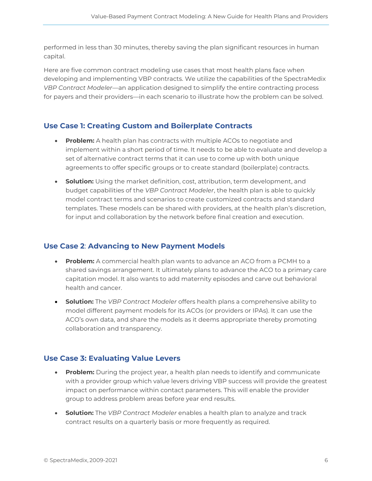performed in less than 30 minutes, thereby saving the plan significant resources in human capital.

Here are five common contract modeling use cases that most health plans face when developing and implementing VBP contracts. We utilize the capabilities of the SpectraMedix *VBP Contract Modeler*—an application designed to simplify the entire contracting process for payers and their providers—in each scenario to illustrate how the problem can be solved.

#### **Use Case 1: Creating Custom and Boilerplate Contracts**

- **Problem:** A health plan has contracts with multiple ACOs to negotiate and implement within a short period of time. It needs to be able to evaluate and develop a set of alternative contract terms that it can use to come up with both unique agreements to offer specific groups or to create standard (boilerplate) contracts.
- **Solution:** Using the market definition, cost, attribution, term development, and budget capabilities of the *VBP Contract Modeler*, the health plan is able to quickly model contract terms and scenarios to create customized contracts and standard templates. These models can be shared with providers, at the health plan's discretion, for input and collaboration by the network before final creation and execution.

#### **Use Case 2**: **Advancing to New Payment Models**

- **Problem:** A commercial health plan wants to advance an ACO from a PCMH to a shared savings arrangement. It ultimately plans to advance the ACO to a primary care capitation model. It also wants to add maternity episodes and carve out behavioral health and cancer.
- **Solution:** The *VBP Contract Modeler* offers health plans a comprehensive ability to model different payment models for its ACOs (or providers or IPAs). It can use the ACO's own data, and share the models as it deems appropriate thereby promoting collaboration and transparency.

#### **Use Case 3: Evaluating Value Levers**

- **Problem:** During the project year, a health plan needs to identify and communicate with a provider group which value levers driving VBP success will provide the greatest impact on performance within contact parameters. This will enable the provider group to address problem areas before year end results.
- **Solution:** The *VBP Contract Modeler* enables a health plan to analyze and track contract results on a quarterly basis or more frequently as required.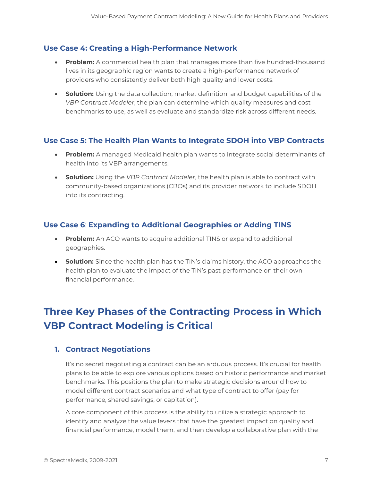#### **Use Case 4: Creating a High-Performance Network**

- **Problem:** A commercial health plan that manages more than five hundred-thousand lives in its geographic region wants to create a high-performance network of providers who consistently deliver both high quality and lower costs.
- **Solution:** Using the data collection, market definition, and budget capabilities of the *VBP Contract Modeler*, the plan can determine which quality measures and cost benchmarks to use, as well as evaluate and standardize risk across different needs.

#### **Use Case 5: The Health Plan Wants to Integrate SDOH into VBP Contracts**

- **Problem:** A managed Medicaid health plan wants to integrate social determinants of health into its VBP arrangements.
- **Solution:** Using the *VBP Contract Modeler*, the health plan is able to contract with community-based organizations (CBOs) and its provider network to include SDOH into its contracting.

#### **Use Case 6**: **Expanding to Additional Geographies or Adding TINS**

- **Problem:** An ACO wants to acquire additional TINS or expand to additional geographies.
- **Solution:** Since the health plan has the TIN's claims history, the ACO approaches the health plan to evaluate the impact of the TIN's past performance on their own financial performance.

# **Three Key Phases of the Contracting Process in Which VBP Contract Modeling is Critical**

#### **1. Contract Negotiations**

It's no secret negotiating a contract can be an arduous process. It's crucial for health plans to be able to explore various options based on historic performance and market benchmarks. This positions the plan to make strategic decisions around how to model different contract scenarios and what type of contract to offer (pay for performance, shared savings, or capitation).

A core component of this process is the ability to utilize a strategic approach to identify and analyze the value levers that have the greatest impact on quality and financial performance, model them, and then develop a collaborative plan with the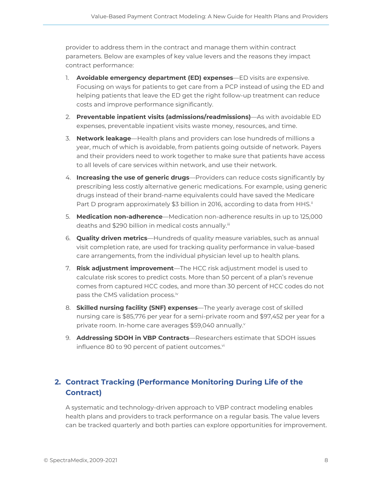provider to address them in the contract and manage them within contract parameters. Below are examples of key value levers and the reasons they impact contract performance:

- 1. **Avoidable emergency department (ED) expenses**—ED visits are expensive. Focusing on ways for patients to get care from a PCP instead of using the ED and helping patients that leave the ED get the right follow-up treatment can reduce costs and improve performance significantly.
- 2. **Preventable inpatient visits (admissions/readmissions)**—As with avoidable ED expenses, preventable inpatient visits waste money, resources, and time.
- 3. **Network leakage**—Health plans and providers can lose hundreds of millions a year, much of which is avoidable, from patients going outside of network. Payers and their providers need to work together to make sure that patients have access to all levels of care services within network, and use their network.
- 4. **Increasing the use of generic drugs**—Providers can reduce costs significantly by prescribing less costly alternative generic medications. For example, using generic drugs instead of their brand-name equivalents could have saved the Medicare Part D program approximately \$3 billion in 2016, according to data from HHS.<sup>ii</sup>
- 5. **Medication non-adherence**—Medication non-adherence results in up to 125,000 deaths and \$290 billion in medical costs annually.<sup>iii</sup>
- 6. **Quality driven metrics**—Hundreds of quality measure variables, such as annual visit completion rate, are used for tracking quality performance in value-based care arrangements, from the individual physician level up to health plans.
- 7. **Risk adjustment improvement**—The HCC risk adjustment model is used to calculate risk scores to predict costs. More than 50 percent of a plan's revenue comes from captured HCC codes, and more than 30 percent of HCC codes do not pass the CMS validation process.<sup>iv</sup>
- 8. **Skilled nursing facility (SNF) expenses**—The yearly average cost of skilled nursing care is \$85,776 per year for a semi-private room and \$97,452 per year for a private room. In-home care averages \$59,040 annually.<sup>v</sup>
- 9. **Addressing SDOH in VBP Contracts**—Researchers estimate that SDOH issues influence 80 to 90 percent of patient outcomes.<sup>vi</sup>

### **2. Contract Tracking (Performance Monitoring During Life of the Contract)**

A systematic and technology-driven approach to VBP contract modeling enables health plans and providers to track performance on a regular basis. The value levers can be tracked quarterly and both parties can explore opportunities for improvement.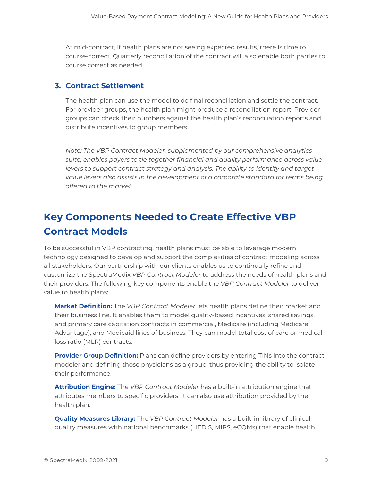At mid-contract, if health plans are not seeing expected results, there is time to course-correct. Quarterly reconciliation of the contract will also enable both parties to course correct as needed.

#### **3. Contract Settlement**

The health plan can use the model to do final reconciliation and settle the contract. For provider groups, the health plan might produce a reconciliation report. Provider groups can check their numbers against the health plan's reconciliation reports and distribute incentives to group members.

*Note: The VBP Contract Modeler, supplemented by our comprehensive analytics suite, enables payers to tie together financial and quality performance across value levers to support contract strategy and analysis. The ability to identify and target value levers also assists in the development of a corporate standard for terms being offered to the market.*

## <span id="page-8-0"></span>**Key Components Needed to Create Effective VBP Contract Models**

To be successful in VBP contracting, health plans must be able to leverage modern technology designed to develop and support the complexities of contract modeling across all stakeholders. Our partnership with our clients enables us to continually refine and customize the SpectraMedix *VBP Contract Modeler* to address the needs of health plans and their providers. The following key components enable the *VBP Contract Modeler* to deliver value to health plans:

**Market Definition:** The *VBP Contract Modeler* lets health plans define their market and their business line. It enables them to model quality-based incentives, shared savings, and primary care capitation contracts in commercial, Medicare (including Medicare Advantage), and Medicaid lines of business. They can model total cost of care or medical loss ratio (MLR) contracts.

**Provider Group Definition:** Plans can define providers by entering TINs into the contract modeler and defining those physicians as a group, thus providing the ability to isolate their performance.

**Attribution Engine:** The *VBP Contract Modeler* has a built-in attribution engine that attributes members to specific providers. It can also use attribution provided by the health plan.

**Quality Measures Library:** The *VBP Contract Modeler* has a built-in library of clinical quality measures with national benchmarks (HEDIS, MIPS, eCQMs) that enable health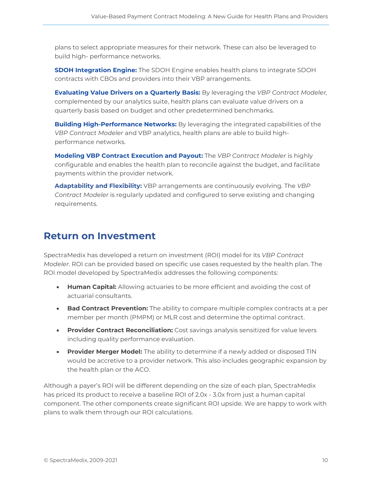plans to select appropriate measures for their network. These can also be leveraged to build high- performance networks.

**SDOH Integration Engine:** The SDOH Engine enables health plans to integrate SDOH contracts with CBOs and providers into their VBP arrangements.

**Evaluating Value Drivers on a Quarterly Basis:** By leveraging the *VBP Contract Modeler,* complemented by our analytics suite, health plans can evaluate value drivers on a quarterly basis based on budget and other predetermined benchmarks.

**Building High-Performance Networks:** By leveraging the integrated capabilities of the *VBP Contract Modeler* and VBP analytics, health plans are able to build highperformance networks.

**Modeling VBP Contract Execution and Payout:** The *VBP Contract Modeler* is highly configurable and enables the health plan to reconcile against the budget, and facilitate payments within the provider network.

**Adaptability and Flexibility:** VBP arrangements are continuously evolving. The *VBP Contract Modeler* is regularly updated and configured to serve existing and changing requirements.

### <span id="page-9-0"></span>**Return on Investment**

SpectraMedix has developed a return on investment (ROI) model for its *VBP Contract Modeler*. ROI can be provided based on specific use cases requested by the health plan. The ROI model developed by SpectraMedix addresses the following components:

- **Human Capital:** Allowing actuaries to be more efficient and avoiding the cost of actuarial consultants.
- **Bad Contract Prevention:** The ability to compare multiple complex contracts at a per member per month (PMPM) or MLR cost and determine the optimal contract.
- **Provider Contract Reconciliation:** Cost savings analysis sensitized for value levers including quality performance evaluation.
- **Provider Merger Model:** The ability to determine if a newly added or disposed TIN would be accretive to a provider network. This also includes geographic expansion by the health plan or the ACO.

Although a payer's ROI will be different depending on the size of each plan, SpectraMedix has priced its product to receive a baseline ROI of 2.0x - 3.0x from just a human capital component. The other components create significant ROI upside. We are happy to work with plans to walk them through our ROI calculations.